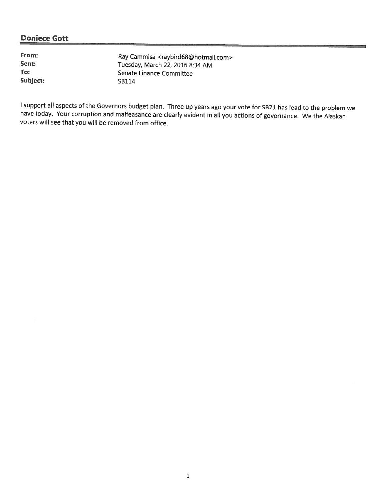From:<br>
Sent:<br>
Sent:<br>
Tuesday March 22, 2016 8:34, AM Sent:<br>
Tuesday, March 22, 2016 8:34 AM<br>
Senate Finance Committee Senate Finance Committee Subject: SB114

I support all aspects of the Governors budget plan. Three up years ago your vote for SB21 has lead to the problem we<br>have today. Your corruption and malfeasance are clearly evident in all you actions of governance. We the voters will see that you will be removed from office.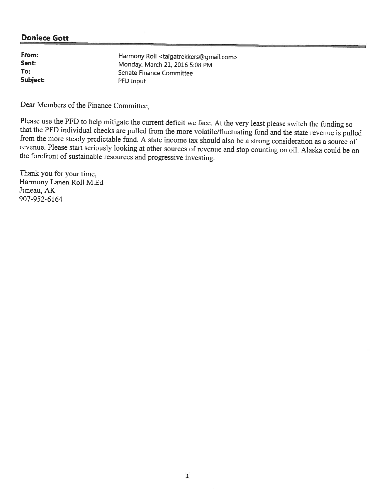| From:    | Harmony Roll <taigatrekkers@gmail.com></taigatrekkers@gmail.com> |
|----------|------------------------------------------------------------------|
| Sent:    | Monday, March 21, 2016 5:08 PM                                   |
| To:      | Senate Finance Committee                                         |
| Subject: | PFD Input                                                        |

Dear Members of the Finance Committee,

Please use the PFD to help mitigate the current deficit we face. At the very least please switch the funding so<br>that the PFD individual checks are pulled from the more volatile/fluctuating fund and the state revenue is pul revenue. Please start seriously looking at other sources of revenue and stop counting on oil. Alaska could be on the forefront of sustainable resources and progressive investing.

Thank you for your time, Harmony Lanen Roll M.Ed Juneau, AK 907-952-6164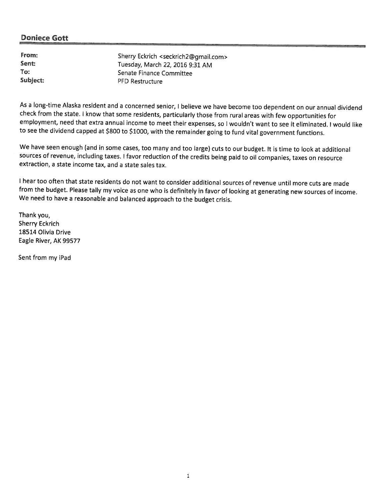| From:    | Sherry Eckrich <seckrich2@gmail.com></seckrich2@gmail.com> |
|----------|------------------------------------------------------------|
| Sent:    | Tuesday, March 22, 2016 9:31 AM                            |
| To:      | Senate Finance Committee                                   |
| Subject: | <b>PFD Restructure</b>                                     |

As a long-time Alaska resident and a concerned senior, I believe we have become too dependent on our annual dividend check from the state. I know that some residents, particularly those from rural areas with few opportunities for employment, need that extra annual income to meet their expenses, so I wouldn't want to see it eliminated. I would like to see the dividend capped at \$800 to \$1000, with the remainder going to fund vital government functions.

We have seen enough (and in some cases, too many and too large) cuts to our budget. It is time to look at additional sources of revenue, including taxes. <sup>I</sup> favor reduction of the credits being paid to oil companies, taxes on resource extraction, <sup>a</sup> state income tax, and <sup>a</sup> state sales tax.

<sup>I</sup> hear too often that state residents do not want to consider additional sources of revenue until more cuts are made from the budget. Please tally my voice as one who is definitely in favor of looking at generating new sources of income. We need to have <sup>a</sup> reasonable and balanced approach to the budget crisis.

Thank you, Sherry Eckrich 18514 Olivia Drive Eagle River, AK 99577

Sent from my iPad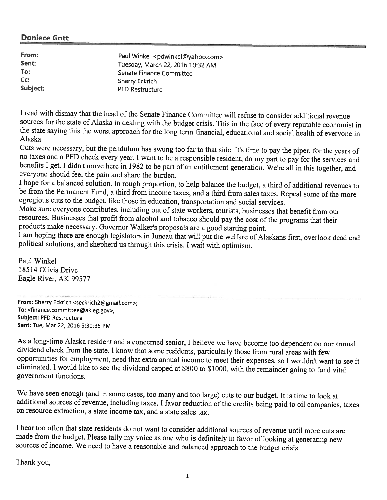| From:    | Paul Winkel <pdwinkel@yahoo.com></pdwinkel@yahoo.com> |
|----------|-------------------------------------------------------|
| Sent:    | Tuesday, March 22, 2016 10:32 AM                      |
| To:      | Senate Finance Committee                              |
| $Cc$ :   | Sherry Eckrich                                        |
| Subject: | PFD Restructure                                       |

<sup>I</sup> read with dismay that the head of the Senate Finance Committee will refuse to consider additional revenue the state saying this the worst approach for the long term financial, educational and social health of everyone in Alaska.

Cuts were necessary, but the pendulum has swung too far to that side. It's time to pay the piper, for the years of no taxes and a PFD check every year. I want to be a responsible resident, do my part to pay for the service benefits I get. I didn't move here in 1982 to be part of an entitlement generation. We're all in this together, and everyone should feel the pain and share the burden.<br>I hope for a balanced solution. In rough proportion, to help balance the budget, a third of additional revenues to

be from the Permanent Fund, a third from income taxes, and a third from sales taxes. Repeal some of the more egregious cuts to the budget, like those in education, transportation and social services.

Make sure everyone contributes, including out of state workers, tourists, businesses that benefit from our resources. Businesses that profit from alcohol and tobacco should pay the cost of the programs that their products make necessary. Governor Walker's proposals are a good starting point.<br>I am hoping there are enough legislators in Juneau that will put the welfare of Alaskans first, overlook dead end

political solutions, and shepherd us through this crisis. <sup>I</sup> wait with optimism.

Paul Winkel 18514 Olivia Drive Eagle River, AK 99577

From: Sherry Eckrich <seckrich2@gmail.com>; To: <finance.committee@akleg.gov>; Subject: PFD Restructure Sent: Tue, Mar 22, 2016 5:30:35 PM

As a long-time Alaska resident and a concerned senior, I believe we have become too dependent on our annual dividend check from the state. I know that some residents, particularly those from rural areas with few opportunit eliminated. I would like to see the dividend capped at \$800 to \$1000, with the remainder going to fund vital government functions.

We have seen enoug<sup>h</sup> (and in some cases, too many and too large) cuts to our budget. it is time to look at additional sources of revenue, including taxes. <sup>I</sup> favor reduction of the credits being paid to oil companies, taxes on resource extraction, <sup>a</sup> state income tax, and <sup>a</sup> state sales tax.

<sup>I</sup> hear too often that state residents do not want to consider additional sources ofrevenue until more cuts are made from the budget. Please tally my voice as one who is definitely in favor of looking at generating new sources of income. We need to have a reasonable and balanced approach to the budget crisis.

Thank you,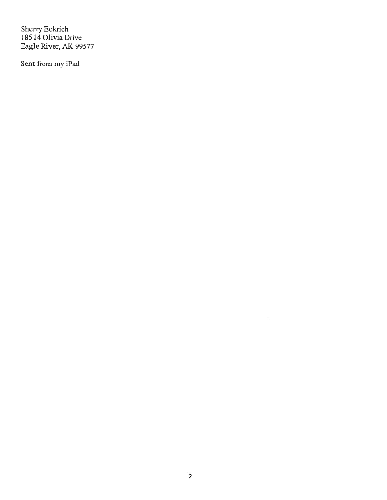Sherry Eckrich 18514 Olivia Drive Eagle River, AK 99577

Sent from my iPad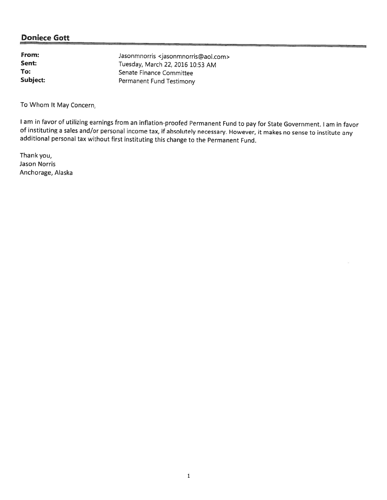| From:    | Jasonmnorris <jasonmnorris@aol.com></jasonmnorris@aol.com> |
|----------|------------------------------------------------------------|
| Sent:    | Tuesday, March 22, 2016 10:53 AM                           |
| To:      | Senate Finance Committee                                   |
| Subject: | Permanent Fund Testimony                                   |

To Whom It May Concern,

I am in favor of utilizing earnings from an inflation-proofed Permanent Fund to pay for State Government. I am in favor of instituting a sales and/or personal income tax, if absolutely necessary. However, it makes no sense to institute any additional personal tax without first instituting this change to the Permanent Fund.

Thank you, Jason Norris Anchorage, Alaska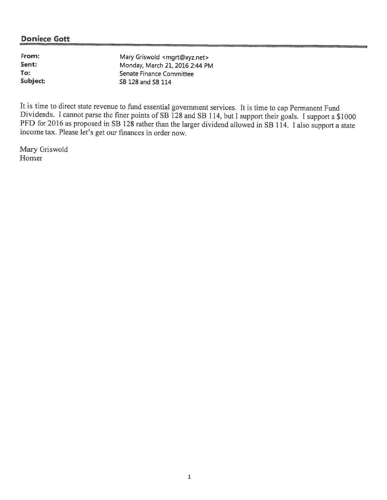| From:    | Mary Griswold <mgrt@xyz.net></mgrt@xyz.net> |
|----------|---------------------------------------------|
| Sent:    | Monday, March 21, 2016 2:44 PM              |
| To:      | Senate Finance Committee                    |
| Subject: | SB 128 and SB 114                           |

It is time to direct state revenue to fund essential government services. It is time to cap Permanent Fund Dividends. I cannot parse the finer points of SB 128 and SB 114, but I support their goals. I support a \$1000 PFD for 2016 as proposed in SB 128 rather than the larger dividend allowed in SB 114. I also support a state income tax. Please let's get our finances in order now.

Mary Griswold Homer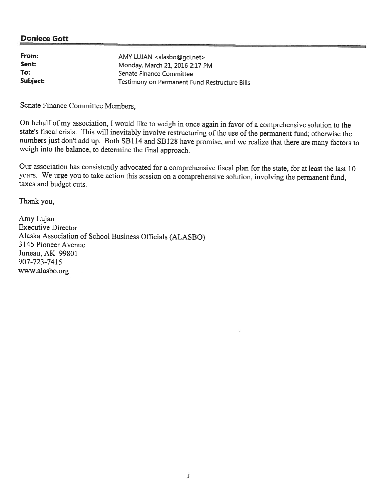| From:    | AMY LUJAN <alasbo@gci.net></alasbo@gci.net>   |
|----------|-----------------------------------------------|
| Sent:    | Monday, March 21, 2016 2:17 PM                |
| To:      | Senate Finance Committee                      |
| Subject: | Testimony on Permanent Fund Restructure Bills |

Senate Finance Committee Members,

On behalf of my association, I would like to weigh in once again in favor of a comprehensive solution to the state's fiscal crisis. This will inevitably involve restructuring of the use of the permanent fund; otherwise the numbers just don't add up. Both SB114 and SB128 have promise, and we realize that there are many factors to weigh into the balance, to determine the final approach.

Our association has consistently advocated for <sup>a</sup> comprehensive fiscal <sup>p</sup>lan for the state, for at least the last <sup>10</sup> years. We urge you to take action this session on a comprehensive solution, involving the permanent fund, taxes and budget cuts.

Thank you,

Amy Lujan Executive Director Alaska Association of School Business Officials (ALASBO) 3 145 Pioneer Avenue Juneau, AK 99801 907-723-7415 www.alasbo.org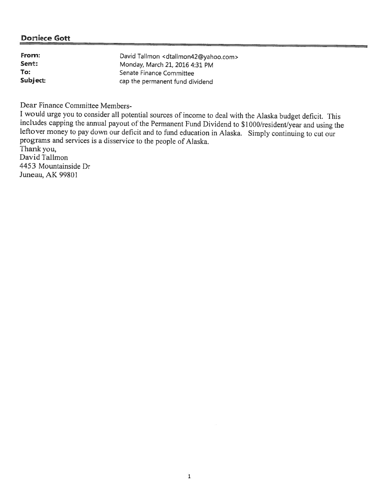| From:    | David Tallmon <dtallmon42@yahoo.com></dtallmon42@yahoo.com> |
|----------|-------------------------------------------------------------|
| Sent:    | Monday, March 21, 2016 4:31 PM                              |
| To:      | Senate Finance Committee                                    |
| Subject: | cap the permanent fund dividend                             |

Dear Finance Committee Members-<br>I would urge you to consider all potential sources of income to deal with the Alaska budget deficit. This includes capping the annual payout of the Permanent Fund Dividend to \$1000/resident/year and using the leftover money to pay down our deficit and to fund education in Alaska. Simply continuing to cut our programs and services is <sup>a</sup> disservice to the people of A'aska.

Thank you, David Tallmon 4453 Mountainside Dr Juneau, AK 99801